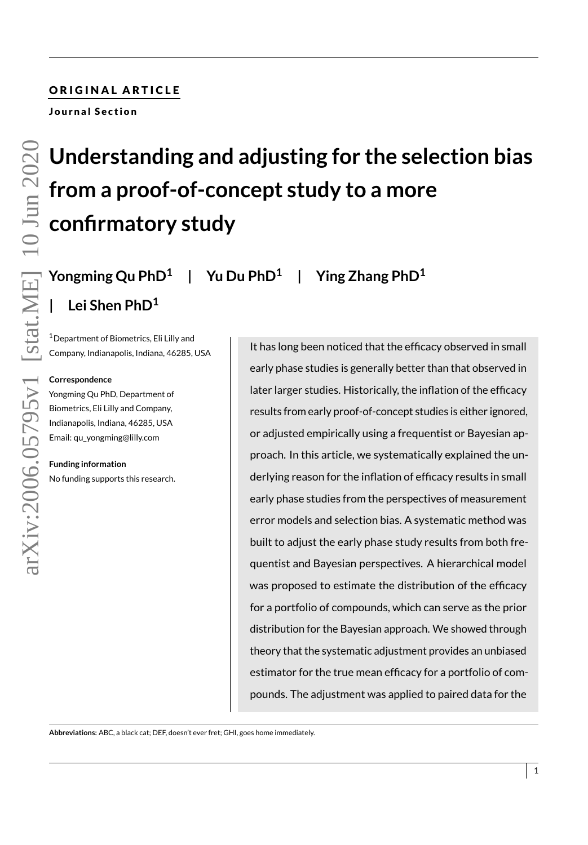# arXiv:2006.05795v1 [stat.ME] 10 Jun 202010 Jun 2020 [stat.ME] Xiv:2006.05795v1

# ORIGINAL ARTICLE

Journal Section

# **Understanding and adjusting for the selection bias from a proof-of-concept study to a more confirmatory study**

**Yongming Qu PhD<sup>1</sup> | Yu Du PhD<sup>1</sup> | Ying Zhang PhD<sup>1</sup>**

**| Lei Shen PhD<sup>1</sup>**

<sup>1</sup> Department of Biometrics, Eli Lilly and Company, Indianapolis, Indiana, 46285, USA

#### **Correspondence**

Yongming Qu PhD, Department of Biometrics, Eli Lilly and Company, Indianapolis, Indiana, 46285, USA Email: qu\_yongming@lilly.com

**Funding information** No funding supports this research.

It has long been noticed that the efficacy observed in small early phase studies is generally better than that observed in later larger studies. Historically, the inflation of the efficacy results from early proof-of-concept studies is either ignored, or adjusted empirically using a frequentist or Bayesian approach. In this article, we systematically explained the underlying reason for the inflation of efficacy results in small early phase studies from the perspectives of measurement error models and selection bias. A systematic method was built to adjust the early phase study results from both frequentist and Bayesian perspectives. A hierarchical model was proposed to estimate the distribution of the efficacy for a portfolio of compounds, which can serve as the prior distribution for the Bayesian approach. We showed through theory that the systematic adjustment provides an unbiased estimator for the true mean efficacy for a portfolio of compounds. The adjustment was applied to paired data for the

**Abbreviations:** ABC, a black cat; DEF, doesn't ever fret; GHI, goes home immediately.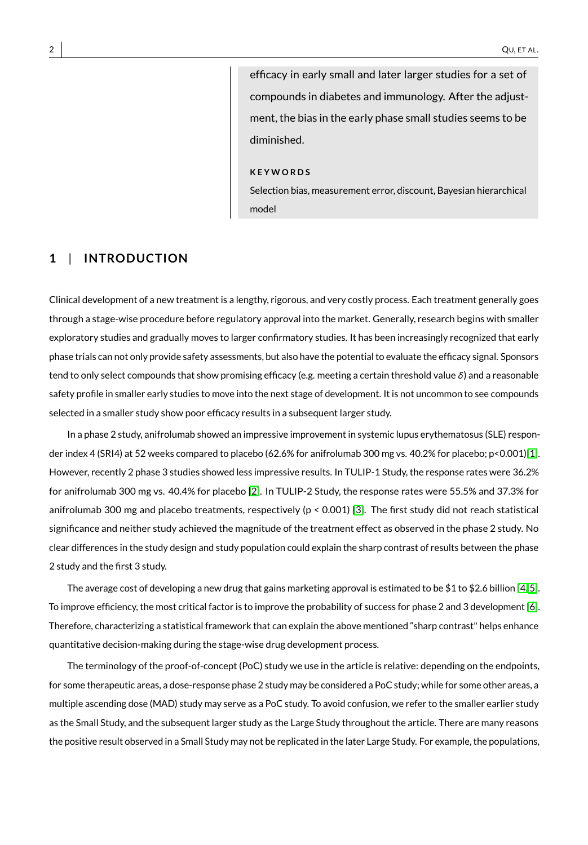efficacy in early small and later larger studies for a set of compounds in diabetes and immunology. After the adjustment, the bias in the early phase small studies seems to be diminished.

#### **K E Y W O R D S**

Selection bias, measurement error, discount, Bayesian hierarchical model

#### **1** | **INTRODUCT ION**

Clinical development of a new treatment is a lengthy, rigorous, and very costly process. Each treatment generally goes through a stage-wise procedure before regulatory approval into the market. Generally, research begins with smaller exploratory studies and gradually moves to larger confirmatory studies. It has been increasingly recognized that early phase trials can not only provide safety assessments, but also have the potential to evaluate the efficacy signal. Sponsors tend to only select compounds that show promising efficacy (e.g. meeting a certain threshold value δ) and a reasonable safety profile in smaller early studies to move into the next stage of development. It is not uncommon to see compounds selected in a smaller study show poor efficacy results in a subsequent larger study.

In a phase 2 study, anifrolumab showed an impressive improvement in systemic lupus erythematosus (SLE) respon-der index 4 (SRI4) at 52 weeks compared to placebo (62.6% for anifrolumab 300 mg vs. 40.2% for placebo; p<0.001)[\[1\]](#page-16-0). However, recently 2 phase 3 studies showed less impressive results. In TULIP-1 Study, the response rates were 36.2% for anifrolumab 300 mg vs. 40.4% for placebo [\[2\]](#page-17-0). In TULIP-2 Study, the response rates were 55.5% and 37.3% for anifrolumab 300 mg and placebo treatments, respectively (p < 0.001) [\[3\]](#page-17-1). The first study did not reach statistical significance and neither study achieved the magnitude of the treatment effect as observed in the phase 2 study. No clear differences in the study design and study population could explain the sharp contrast of results between the phase 2 study and the first 3 study.

The average cost of developing a new drug that gains marketing approval is estimated to be \$1 to \$2.6 billion [\[4,](#page-17-2) [5\]](#page-17-3). To improve efficiency, the most critical factor is to improve the probability of success for phase 2 and 3 development [\[6\]](#page-17-4). Therefore, characterizing a statistical framework that can explain the above mentioned "sharp contrast" helps enhance quantitative decision-making during the stage-wise drug development process.

The terminology of the proof-of-concept (PoC) study we use in the article is relative: depending on the endpoints, for some therapeutic areas, a dose-response phase 2 study may be considered a PoC study; while for some other areas, a multiple ascending dose (MAD) study may serve as a PoC study. To avoid confusion, we refer to the smaller earlier study as the Small Study, and the subsequent larger study as the Large Study throughout the article. There are many reasons the positive result observed in a Small Study may not be replicated in the later Large Study. For example, the populations,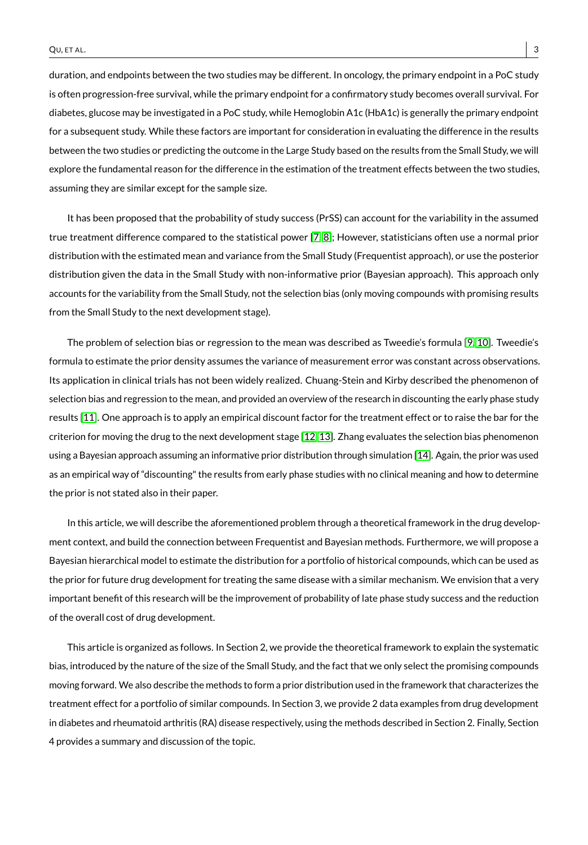duration, and endpoints between the two studies may be different. In oncology, the primary endpoint in a PoC study is often progression-free survival, while the primary endpoint for a confirmatory study becomes overall survival. For diabetes, glucose may be investigated in a PoC study, while Hemoglobin A1c (HbA1c) is generally the primary endpoint for a subsequent study. While these factors are important for consideration in evaluating the difference in the results between the two studies or predicting the outcome in the Large Study based on the results from the Small Study, we will explore the fundamental reason for the difference in the estimation of the treatment effects between the two studies, assuming they are similar except for the sample size.

It has been proposed that the probability of study success (PrSS) can account for the variability in the assumed true treatment difference compared to the statistical power [\[7,](#page-17-5) [8\]](#page-17-6); However, statisticians often use a normal prior distribution with the estimated mean and variance from the Small Study (Frequentist approach), or use the posterior distribution given the data in the Small Study with non-informative prior (Bayesian approach). This approach only accounts for the variability from the Small Study, not the selection bias (only moving compounds with promising results from the Small Study to the next development stage).

The problem of selection bias or regression to the mean was described as Tweedie's formula [\[9,](#page-17-7) [10\]](#page-17-8). Tweedie's formula to estimate the prior density assumes the variance of measurement error was constant across observations. Its application in clinical trials has not been widely realized. Chuang-Stein and Kirby described the phenomenon of selection bias and regression to the mean, and provided an overview of the research in discounting the early phase study results [\[11\]](#page-17-9). One approach is to apply an empirical discount factor for the treatment effect or to raise the bar for the criterion for moving the drug to the next development stage [\[12,](#page-17-10) [13\]](#page-17-11). Zhang evaluates the selection bias phenomenon using a Bayesian approach assuming an informative prior distribution through simulation [\[14\]](#page-17-12). Again, the prior was used as an empirical way of "discounting" the results from early phase studies with no clinical meaning and how to determine the prior is not stated also in their paper.

In this article, we will describe the aforementioned problem through a theoretical framework in the drug development context, and build the connection between Frequentist and Bayesian methods. Furthermore, we will propose a Bayesian hierarchical model to estimate the distribution for a portfolio of historical compounds, which can be used as the prior for future drug development for treating the same disease with a similar mechanism. We envision that a very important benefit of this research will be the improvement of probability of late phase study success and the reduction of the overall cost of drug development.

This article is organized as follows. In Section 2, we provide the theoretical framework to explain the systematic bias, introduced by the nature of the size of the Small Study, and the fact that we only select the promising compounds moving forward. We also describe the methods to form a prior distribution used in the framework that characterizes the treatment effect for a portfolio of similar compounds. In Section 3, we provide 2 data examples from drug development in diabetes and rheumatoid arthritis (RA) disease respectively, using the methods described in Section 2. Finally, Section 4 provides a summary and discussion of the topic.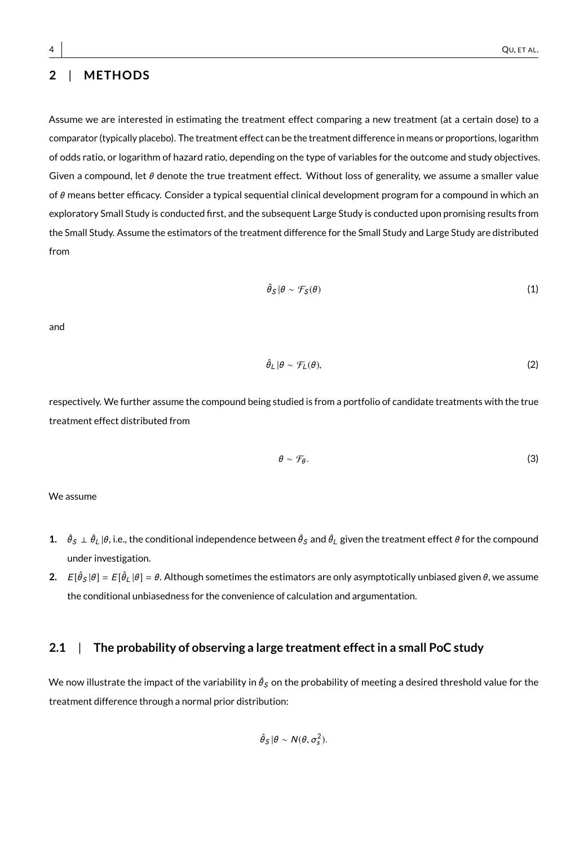# **2** | **METHODS**

Assume we are interested in estimating the treatment effect comparing a new treatment (at a certain dose) to a comparator (typically placebo). The treatment effect can be the treatment difference in means or proportions, logarithm of odds ratio, or logarithm of hazard ratio, depending on the type of variables for the outcome and study objectives. Given a compound, let  $\theta$  denote the true treatment effect. Without loss of generality, we assume a smaller value of  $\theta$  means better efficacy. Consider a typical sequential clinical development program for a compound in which an exploratory Small Study is conducted first, and the subsequent Large Study is conducted upon promising results from the Small Study. Assume the estimators of the treatment difference for the Small Study and Large Study are distributed from

$$
\hat{\theta}_S \vert \theta \sim \mathcal{F}_S(\theta) \tag{1}
$$

and

$$
\hat{\theta}_L \mid \theta \sim \mathcal{F}_L(\theta),\tag{2}
$$

respectively. We further assume the compound being studied is from a portfolio of candidate treatments with the true treatment effect distributed from

<span id="page-3-0"></span>
$$
\theta \sim \mathcal{F}_{\theta}.\tag{3}
$$

We assume

- $1.$   $\hat\theta_S \perp \hat\theta_L | \theta$ , i.e., the conditional independence between  $\hat\theta_S$  and  $\hat\theta_L$  given the treatment effect  $\theta$  for the compound under investigation.
- $2.$   $E[\hat{\theta}_S|\theta]=E[\hat{\theta}_L|\theta]=\theta.$  Although sometimes the estimators are only asymptotically unbiased given  $\theta$ , we assume the conditional unbiasedness for the convenience of calculation and argumentation.

#### **2.1** | **The probability of observing a large treatment effect in a small PoC study**

We now illustrate the impact of the variability in  $\hat\theta_S$  on the probability of meeting a desired threshold value for the treatment difference through a normal prior distribution:

$$
\hat{\theta}_S|\theta \sim N(\theta, \sigma_s^2).
$$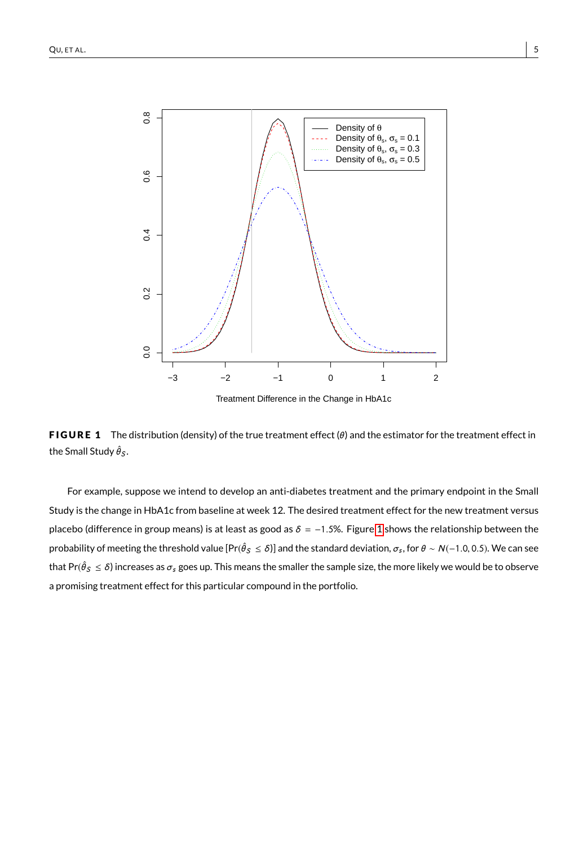<span id="page-4-0"></span>

Treatment Difference in the Change in HbA1c

FIGURE 1 The distribution (density) of the true treatment effect  $(\theta)$  and the estimator for the treatment effect in the Small Study  $\hat{\theta}_{\mathcal{S}}$ .

For example, suppose we intend to develop an anti-diabetes treatment and the primary endpoint in the Small Study is the change in HbA1c from baseline at week 12. The desired treatment effect for the new treatment versus placebo (difference in group means) is at least as good as  $\delta = -1.5\%$ . Figure [1](#page-4-0) shows the relationship between the probability of meeting the threshold value [Pr( $\hat{\theta}_S \le \delta$ )] and the standard deviation,  $\sigma_s$ , for  $\theta \sim N(-1.0, 0.5)$ . We can see that Pr( $\hat\theta_S\leq\delta$ ) increases as  $\sigma_s$  goes up. This means the smaller the sample size, the more likely we would be to observe a promising treatment effect for this particular compound in the portfolio.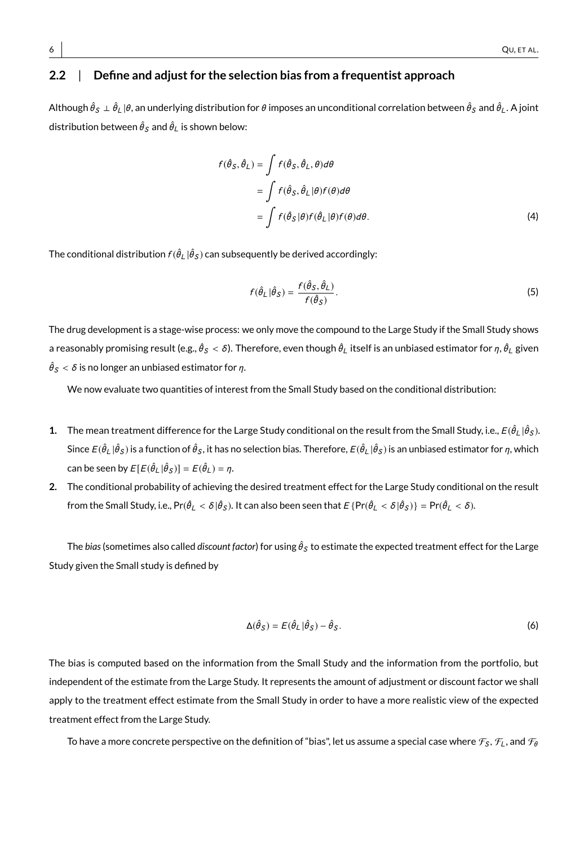## <span id="page-5-1"></span>**2.2** | **Define and adjust for the selection bias from a frequentist approach**

Although  $\hat\theta_\mathcal S \perp \hat\theta_L$ | $\theta$ , an underlying distribution for  $\theta$  imposes an unconditional correlation between  $\hat\theta_\mathcal S$  and  $\hat\theta_L$ . A joint distribution between  $\hat{\theta}_{\mathcal{S}}$  and  $\hat{\theta}_L$  is shown below:

$$
f(\hat{\theta}_S, \hat{\theta}_L) = \int f(\hat{\theta}_S, \hat{\theta}_L, \theta) d\theta
$$
  
= 
$$
\int f(\hat{\theta}_S, \hat{\theta}_L | \theta) f(\theta) d\theta
$$
  
= 
$$
\int f(\hat{\theta}_S | \theta) f(\hat{\theta}_L | \theta) f(\theta) d\theta.
$$
 (4)

The conditional distribution  $f(\hat{\theta}_L|\hat{\theta}_\mathcal{S})$  can subsequently be derived accordingly:

$$
f(\hat{\theta}_L|\hat{\theta}_S) = \frac{f(\hat{\theta}_S, \hat{\theta}_L)}{f(\hat{\theta}_S)}.
$$
\n(5)

The drug development is a stage-wise process: we only move the compound to the Large Study if the Small Study shows a reasonably promising result (e.g.,  $\hat{\theta}_S < \delta$ ). Therefore, even though  $\hat{\theta}_L$  itself is an unbiased estimator for  $\eta, \hat{\theta}_L$  given  $\hat{\theta}_{\mathcal{S}} < \delta$  is no longer an unbiased estimator for  $\eta$ .

We now evaluate two quantities of interest from the Small Study based on the conditional distribution:

- $1$ . The mean treatment difference for the Large Study conditional on the result from the Small Study, i.e.,  $E(\hat\theta_L|\hat\theta_S)$ . Since  $E(\hat\theta_L|\hat\theta_S)$  is a function of  $\hat\theta_S$ , it has no selection bias. Therefore,  $E(\hat\theta_L|\hat\theta_S)$  is an unbiased estimator for  $\eta$ , which can be seen by  $E[E(\hat{\theta}_L|\hat{\theta}_S)] = E(\hat{\theta}_L) = \eta$ .
- **2.** The conditional probability of achieving the desired treatment effect for the Large Study conditional on the result from the Small Study, i.e.,  $Pr(\hat{\theta}_L < \delta | \hat{\theta}_S)$ . It can also been seen that  $E\{Pr(\hat{\theta}_L < \delta | \hat{\theta}_S)\} = Pr(\hat{\theta}_L < \delta)$ .

The *bias* (sometimes also called *discount factor*) for using  $\hat{\theta}_S$  to estimate the expected treatment effect for the Large Study given the Small study is defined by

<span id="page-5-0"></span>
$$
\Delta(\hat{\theta}_S) = E(\hat{\theta}_L|\hat{\theta}_S) - \hat{\theta}_S. \tag{6}
$$

The bias is computed based on the information from the Small Study and the information from the portfolio, but independent of the estimate from the Large Study. It represents the amount of adjustment or discount factor we shall apply to the treatment effect estimate from the Small Study in order to have a more realistic view of the expected treatment effect from the Large Study.

To have a more concrete perspective on the definition of "bias", let us assume a special case where  $\mathcal{F}_S$ ,  $\mathcal{F}_L$ , and  $\mathcal{F}_\theta$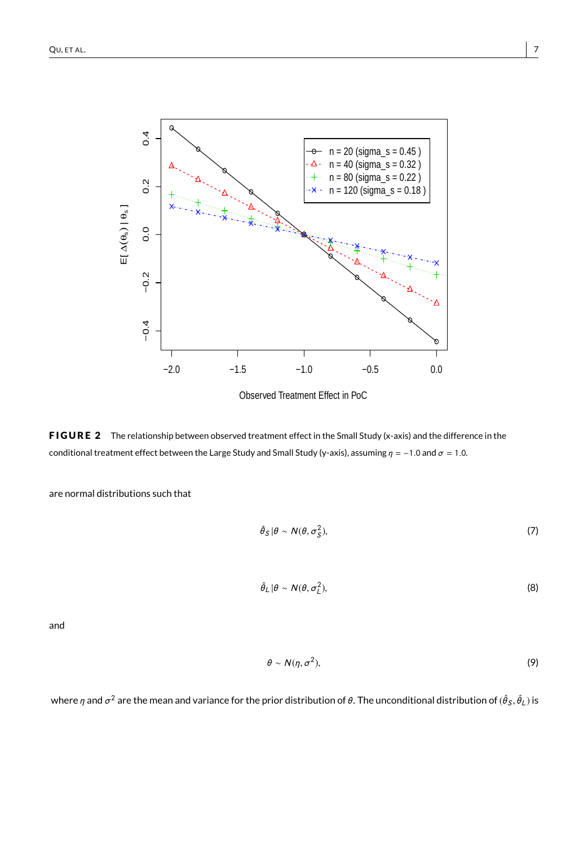<span id="page-6-0"></span>

FIGURE 2 The relationship between observed treatment effect in the Small Study (x-axis) and the difference in the conditional treatment effect between the Large Study and Small Study (y-axis), assuming  $\eta = -1.0$  and  $\sigma = 1.0$ .

are normal distributions such that

$$
\hat{\theta}_S|\theta \sim N(\theta, \sigma_S^2),\tag{7}
$$

$$
\hat{\theta}_L \, |\theta \sim N(\theta, \sigma_L^2),\tag{8}
$$

and

$$
\theta \sim N(\eta, \sigma^2),\tag{9}
$$

where  $\eta$  and  $\sigma^2$  are the mean and variance for the prior distribution of  $\theta$ . The unconditional distribution of  $(\hat{\theta}_S, \hat{\theta}_L)$  is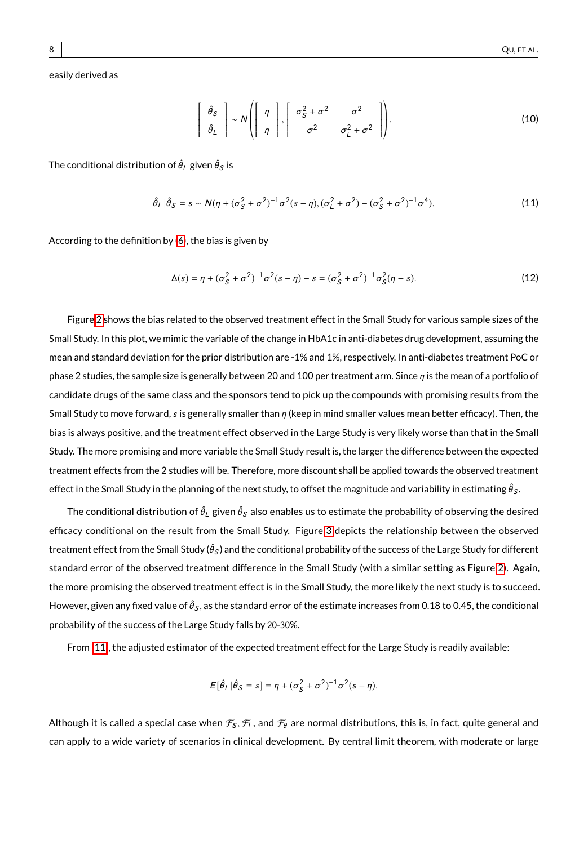easily derived as

$$
\begin{bmatrix}\n\hat{\theta}_{S} \\
\hat{\theta}_{L}\n\end{bmatrix} \sim N \left( \begin{bmatrix} \eta \\ \eta \end{bmatrix}, \begin{bmatrix} \sigma_{S}^{2} + \sigma^{2} & \sigma^{2} \\ \sigma^{2} & \sigma_{L}^{2} + \sigma^{2} \end{bmatrix} \right). \tag{10}
$$

The conditional distribution of  $\hat{\theta}_L$  given  $\hat{\theta}_S$  is

<span id="page-7-0"></span>
$$
\hat{\theta}_L|\hat{\theta}_S = s \sim N(\eta + (\sigma_S^2 + \sigma^2)^{-1}\sigma^2(s - \eta), (\sigma_L^2 + \sigma^2) - (\sigma_S^2 + \sigma^2)^{-1}\sigma^4). \tag{11}
$$

According to the definition by [\(6\)](#page-5-0), the bias is given by

<span id="page-7-1"></span>
$$
\Delta(s) = \eta + (\sigma_S^2 + \sigma^2)^{-1} \sigma^2 (s - \eta) - s = (\sigma_S^2 + \sigma^2)^{-1} \sigma_S^2 (\eta - s).
$$
 (12)

Figure [2](#page-6-0) shows the bias related to the observed treatment effect in the Small Study for various sample sizes of the Small Study. In this plot, we mimic the variable of the change in HbA1c in anti-diabetes drug development, assuming the mean and standard deviation for the prior distribution are -1% and 1%, respectively. In anti-diabetes treatment PoC or phase 2 studies, the sample size is generally between 20 and 100 per treatment arm. Since  $\eta$  is the mean of a portfolio of candidate drugs of the same class and the sponsors tend to pick up the compounds with promising results from the Small Study to move forward, s is generally smaller than  $\eta$  (keep in mind smaller values mean better efficacy). Then, the bias is always positive, and the treatment effect observed in the Large Study is very likely worse than that in the Small Study. The more promising and more variable the Small Study result is, the larger the difference between the expected treatment effects from the 2 studies will be. Therefore, more discount shall be applied towards the observed treatment effect in the Small Study in the planning of the next study, to offset the magnitude and variability in estimating  $\hat{\theta}_S$ .

The conditional distribution of  $\hat\theta_L$  given  $\hat\theta_S$  also enables us to estimate the probability of observing the desired efficacy conditional on the result from the Small Study. Figure [3](#page-8-0) depicts the relationship between the observed treatment effect from the Small Study ( $\hat\theta_S$ ) and the conditional probability of the success of the Large Study for different standard error of the observed treatment difference in the Small Study (with a similar setting as Figure [2\)](#page-6-0). Again, the more promising the observed treatment effect is in the Small Study, the more likely the next study is to succeed. However, given any fixed value of  $\hat{\theta}_S$ , as the standard error of the estimate increases from 0.18 to 0.45, the conditional probability of the success of the Large Study falls by 20-30%.

From [\(11\)](#page-7-0), the adjusted estimator of the expected treatment effect for the Large Study is readily available:

$$
E[\hat{\theta}_L|\hat{\theta}_S=s]=\eta+(\sigma_S^2+\sigma^2)^{-1}\sigma^2(s-\eta).
$$

Although it is called a special case when  $\mathcal{F}_S$ ,  $\mathcal{F}_L$ , and  $\mathcal{F}_{\theta}$  are normal distributions, this is, in fact, quite general and can apply to a wide variety of scenarios in clinical development. By central limit theorem, with moderate or large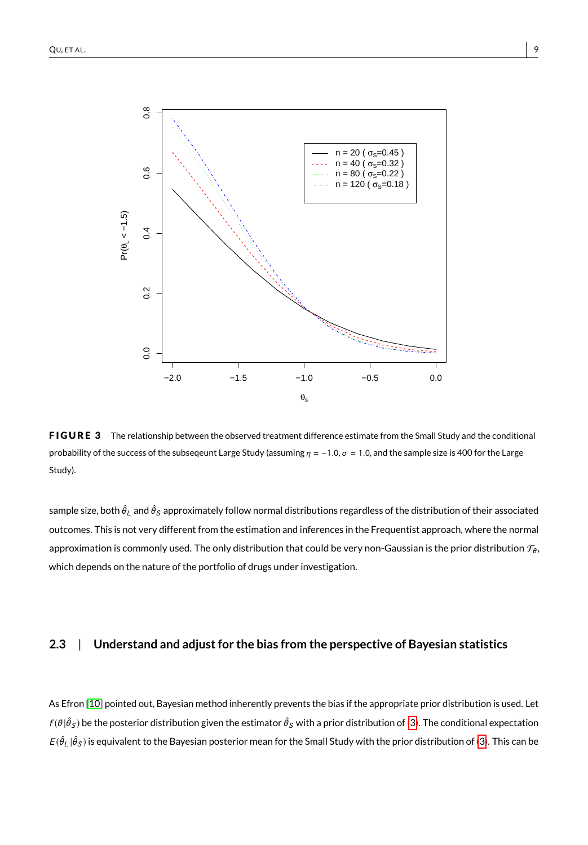<span id="page-8-0"></span>

FIGURE 3 The relationship between the observed treatment difference estimate from the Small Study and the conditional probability of the success of the subseqeunt Large Study (assuming  $\eta = -1.0$ ,  $\sigma = 1.0$ , and the sample size is 400 for the Large Study).

sample size, both  $\hat\theta_L$  and  $\hat\theta_S$  approximately follow normal distributions regardless of the distribution of their associated outcomes. This is not very different from the estimation and inferences in the Frequentist approach, where the normal approximation is commonly used. The only distribution that could be very non-Gaussian is the prior distribution  $\mathcal{F}_{\theta}$ , which depends on the nature of the portfolio of drugs under investigation.

## **2.3** | **Understand and adjust for the bias from the perspective of Bayesian statistics**

As Efron [\[10\]](#page-17-8) pointed out, Bayesian method inherently prevents the bias if the appropriate prior distribution is used. Let  $f(\theta|\hat{\theta}_S)$  be the posterior distribution given the estimator  $\hat{\theta}_S$  with a prior distribution of [\(3\)](#page-3-0). The conditional expectation  $E(\hat\theta_L|\hat\theta_S)$  is equivalent to the Bayesian posterior mean for the Small Study with the prior distribution of [\(3\)](#page-3-0). This can be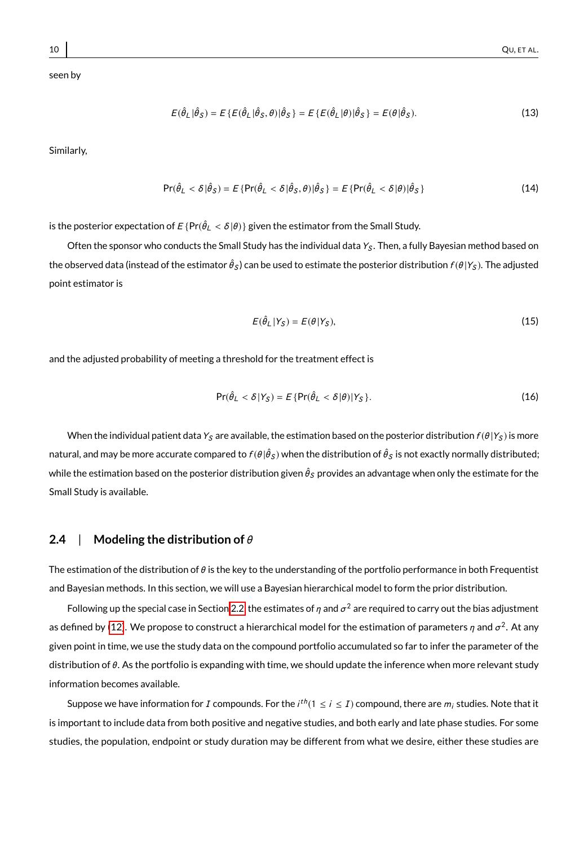seen by

$$
E(\hat{\theta}_L|\hat{\theta}_S) = E\{E(\hat{\theta}_L|\hat{\theta}_S,\theta)|\hat{\theta}_S\} = E\{E(\hat{\theta}_L|\theta)|\hat{\theta}_S\} = E(\theta|\hat{\theta}_S).
$$
\n(13)

Similarly,

$$
\Pr(\hat{\theta}_L < \delta \,|\hat{\theta}_S) = E\left\{\Pr(\hat{\theta}_L < \delta \,|\hat{\theta}_S, \theta)\,|\hat{\theta}_S\right\} = E\left\{\Pr(\hat{\theta}_L < \delta \,|\theta)\,|\hat{\theta}_S\right\} \tag{14}
$$

is the posterior expectation of  $E\{Pr(\hat{\theta}_L < \delta | \theta)\}\$  given the estimator from the Small Study.

Often the sponsor who conducts the Small Study has the individual data  $Y_S$ . Then, a fully Bayesian method based on the observed data (instead of the estimator  $\hat\theta_S$ ) can be used to estimate the posterior distribution  $f(\theta|Y_S)$ . The adjusted point estimator is

$$
E(\hat{\theta}_L | Y_S) = E(\theta | Y_S),\tag{15}
$$

and the adjusted probability of meeting a threshold for the treatment effect is

$$
\Pr(\hat{\theta}_L < \delta | Y_S) = E\{\Pr(\hat{\theta}_L < \delta | \theta) | Y_S\}.\tag{16}
$$

When the individual patient data Y<sub>S</sub> are available, the estimation based on the posterior distribution  $f(\theta|Y_S)$  is more natural, and may be more accurate compared to  $f(\theta|\hat\theta_S)$  when the distribution of  $\hat\theta_S$  is not exactly normally distributed; while the estimation based on the posterior distribution given  $\hat\theta_S$  provides an advantage when only the estimate for the Small Study is available.

#### <span id="page-9-0"></span>**2.4** | **Modeling the distribution of** θ

The estimation of the distribution of  $\theta$  is the key to the understanding of the portfolio performance in both Frequentist and Bayesian methods. In this section, we will use a Bayesian hierarchical model to form the prior distribution.

Following up the special case in Section [2.2,](#page-5-1) the estimates of  $\eta$  and  $\sigma^2$  are required to carry out the bias adjustment as defined by [\(12\)](#page-7-1). We propose to construct a hierarchical model for the estimation of parameters  $\eta$  and  $\sigma^2$ . At any given point in time, we use the study data on the compound portfolio accumulated so far to infer the parameter of the distribution of  $\theta$ . As the portfolio is expanding with time, we should update the inference when more relevant study information becomes available.

Suppose we have information for I compounds. For the  $i^th(1 \leq i \leq I)$  compound, there are  $m_i$  studies. Note that it is important to include data from both positive and negative studies, and both early and late phase studies. For some studies, the population, endpoint or study duration may be different from what we desire, either these studies are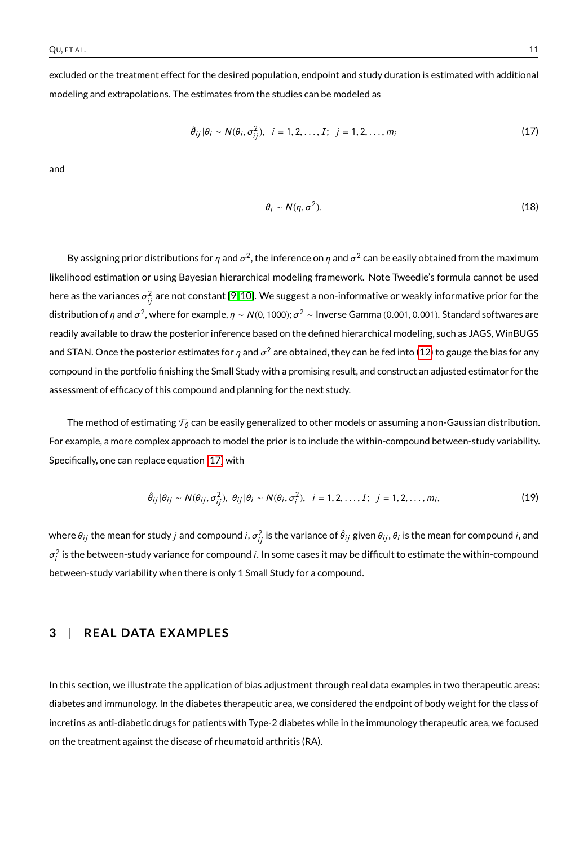excluded or the treatment effect for the desired population, endpoint and study duration is estimated with additional modeling and extrapolations. The estimates from the studies can be modeled as

<span id="page-10-0"></span>
$$
\hat{\theta}_{ij}|\theta_i \sim N(\theta_i, \sigma_{ij}^2), \quad i = 1, 2, \ldots, I; \quad j = 1, 2, \ldots, m_i
$$
\n(17)

and

$$
\theta_i \sim N(\eta, \sigma^2). \tag{18}
$$

By assigning prior distributions for  $\eta$  and  $\sigma^2$ , the inference on  $\eta$  and  $\sigma^2$  can be easily obtained from the maximum likelihood estimation or using Bayesian hierarchical modeling framework. Note Tweedie's formula cannot be used here as the variances  $\sigma^2_{ij}$  are not constant [\[9,](#page-17-7) [10\]](#page-17-8). We suggest a non-informative or weakly informative prior for the distribution of  $\eta$  and  $\sigma^2$ , where for example,  $\eta \sim N(0,1000)$ ;  $\sigma^2 \sim$  Inverse Gamma (0.001, 0.001). Standard softwares are readily available to draw the posterior inference based on the defined hierarchical modeling, such as JAGS, WinBUGS and STAN. Once the posterior estimates for  $\eta$  and  $\sigma^2$  are obtained, they can be fed into [\(12\)](#page-7-1) to gauge the bias for any compound in the portfolio finishing the Small Study with a promising result, and construct an adjusted estimator for the assessment of efficacy of this compound and planning for the next study.

The method of estimating  $\mathcal{F}_{\theta}$  can be easily generalized to other models or assuming a non-Gaussian distribution. For example, a more complex approach to model the prior is to include the within-compound between-study variability. Specifically, one can replace equation [\(17\)](#page-10-0) with

<span id="page-10-1"></span>
$$
\hat{\theta}_{ij}|\theta_{ij} \sim N(\theta_{ij}, \sigma_{ij}^2), \ \theta_{ij}|\theta_i \sim N(\theta_i, \sigma_i^2), \ \ i = 1, 2, \ldots, I; \ \ j = 1, 2, \ldots, m_i,
$$
\n(19)

where  $\theta_{ij}$  the mean for study  $j$  and compound  $i,\sigma^2_{ij}$  is the variance of  $\hat\theta_{ij}$  given  $\theta_{ij},\theta_i$  is the mean for compound  $i$ , and  $\sigma_i^2$  is the between-study variance for compound  $i.$  In some cases it may be difficult to estimate the within-compound between-study variability when there is only 1 Small Study for a compound.

### **3** | **REAL DATA EXAMPLES**

In this section, we illustrate the application of bias adjustment through real data examples in two therapeutic areas: diabetes and immunology. In the diabetes therapeutic area, we considered the endpoint of body weight for the class of incretins as anti-diabetic drugs for patients with Type-2 diabetes while in the immunology therapeutic area, we focused on the treatment against the disease of rheumatoid arthritis (RA).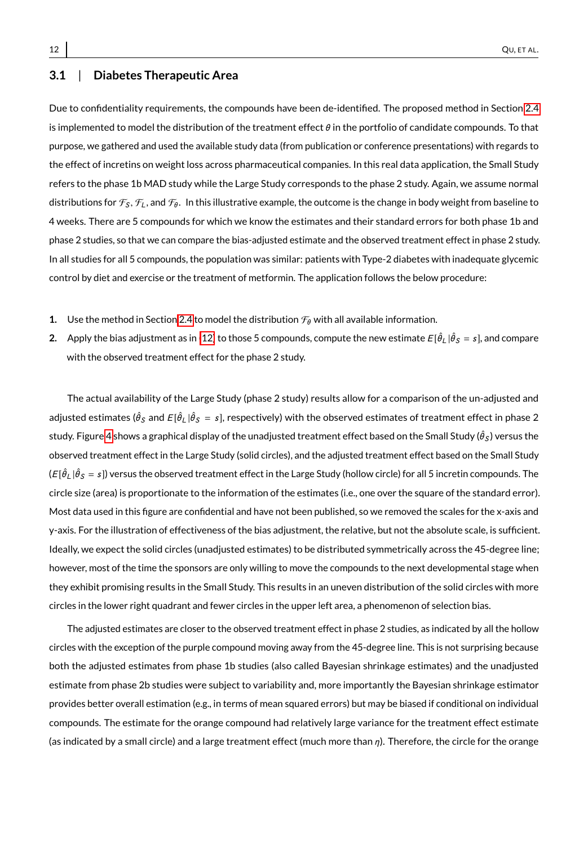#### **3.1** | **Diabetes Therapeutic Area**

Due to confidentiality requirements, the compounds have been de-identified. The proposed method in Section [2.4](#page-9-0) is implemented to model the distribution of the treatment effect  $\theta$  in the portfolio of candidate compounds. To that purpose, we gathered and used the available study data (from publication or conference presentations) with regards to the effect of incretins on weight loss across pharmaceutical companies. In this real data application, the Small Study refers to the phase 1b MAD study while the Large Study corresponds to the phase 2 study. Again, we assume normal distributions for  $\mathcal{F}_5$ ,  $\mathcal{F}_L$ , and  $\mathcal{F}_{\theta}$ . In this illustrative example, the outcome is the change in body weight from baseline to 4 weeks. There are 5 compounds for which we know the estimates and their standard errors for both phase 1b and phase 2 studies, so that we can compare the bias-adjusted estimate and the observed treatment effect in phase 2 study. In all studies for all 5 compounds, the population was similar: patients with Type-2 diabetes with inadequate glycemic control by diet and exercise or the treatment of metformin. The application follows the below procedure:

- **1.** Use the method in Section [2.4](#page-9-0) to model the distribution  $\mathcal{F}_{\theta}$  with all available information.
- $2.$  Apply the bias adjustment as in [\(12\)](#page-7-1) to those 5 compounds, compute the new estimate  $E[\hat\theta_L|\hat\theta_S=s]$ , and compare with the observed treatment effect for the phase 2 study.

The actual availability of the Large Study (phase 2 study) results allow for a comparison of the un-adjusted and adjusted estimates ( $\hat\theta_S$  and  $E[\hat\theta_L|\hat\theta_S=s]$ , respectively) with the observed estimates of treatment effect in phase 2 study. Figure [4](#page-12-0) shows a graphical display of the unadjusted treatment effect based on the Small Study ( $\hat\theta_{\cal S}$ ) versus the observed treatment effect in the Large Study (solid circles), and the adjusted treatment effect based on the Small Study (E[ $\hat\theta_L$ | $\hat\theta_S= s$ ]) versus the observed treatment effect in the Large Study (hollow circle) for all 5 incretin compounds. The circle size (area) is proportionate to the information of the estimates (i.e., one over the square of the standard error). Most data used in this figure are confidential and have not been published, so we removed the scales for the x-axis and y-axis. For the illustration of effectiveness of the bias adjustment, the relative, but not the absolute scale, is sufficient. Ideally, we expect the solid circles (unadjusted estimates) to be distributed symmetrically across the 45-degree line; however, most of the time the sponsors are only willing to move the compounds to the next developmental stage when they exhibit promising results in the Small Study. This results in an uneven distribution of the solid circles with more circles in the lower right quadrant and fewer circles in the upper left area, a phenomenon of selection bias.

The adjusted estimates are closer to the observed treatment effect in phase 2 studies, as indicated by all the hollow circles with the exception of the purple compound moving away from the 45-degree line. This is not surprising because both the adjusted estimates from phase 1b studies (also called Bayesian shrinkage estimates) and the unadjusted estimate from phase 2b studies were subject to variability and, more importantly the Bayesian shrinkage estimator provides better overall estimation (e.g., in terms of mean squared errors) but may be biased if conditional on individual compounds. The estimate for the orange compound had relatively large variance for the treatment effect estimate (as indicated by a small circle) and a large treatment effect (much more than  $\eta$ ). Therefore, the circle for the orange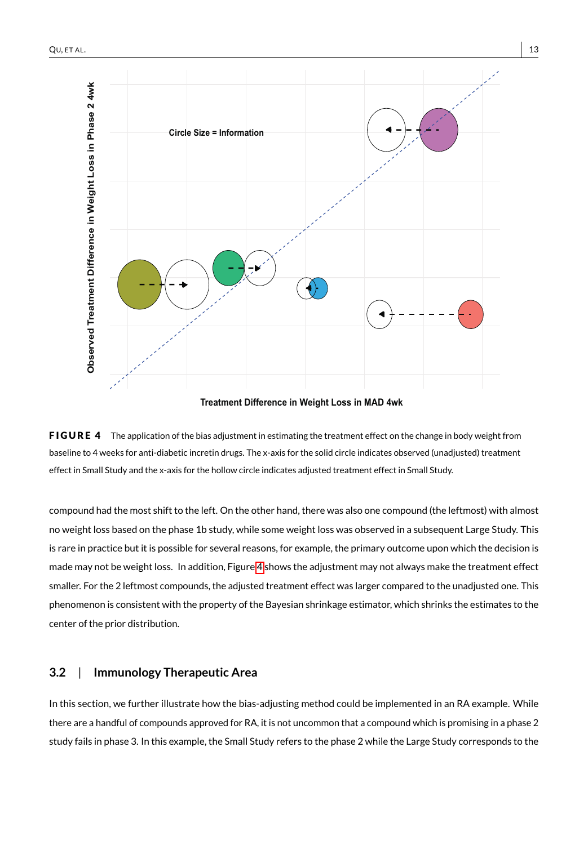<span id="page-12-0"></span>

FIGURE 4 The application of the bias adjustment in estimating the treatment effect on the change in body weight from baseline to 4 weeks for anti-diabetic incretin drugs. The x-axis for the solid circle indicates observed (unadjusted) treatment effect in Small Study and the x-axis for the hollow circle indicates adjusted treatment effect in Small Study.

compound had the most shift to the left. On the other hand, there was also one compound (the leftmost) with almost no weight loss based on the phase 1b study, while some weight loss was observed in a subsequent Large Study. This is rare in practice but it is possible for several reasons, for example, the primary outcome upon which the decision is made may not be weight loss. In addition, Figure [4](#page-12-0) shows the adjustment may not always make the treatment effect smaller. For the 2 leftmost compounds, the adjusted treatment effect was larger compared to the unadjusted one. This phenomenon is consistent with the property of the Bayesian shrinkage estimator, which shrinks the estimates to the center of the prior distribution.

#### **3.2** | **Immunology Therapeutic Area**

In this section, we further illustrate how the bias-adjusting method could be implemented in an RA example. While there are a handful of compounds approved for RA, it is not uncommon that a compound which is promising in a phase 2 study fails in phase 3. In this example, the Small Study refers to the phase 2 while the Large Study corresponds to the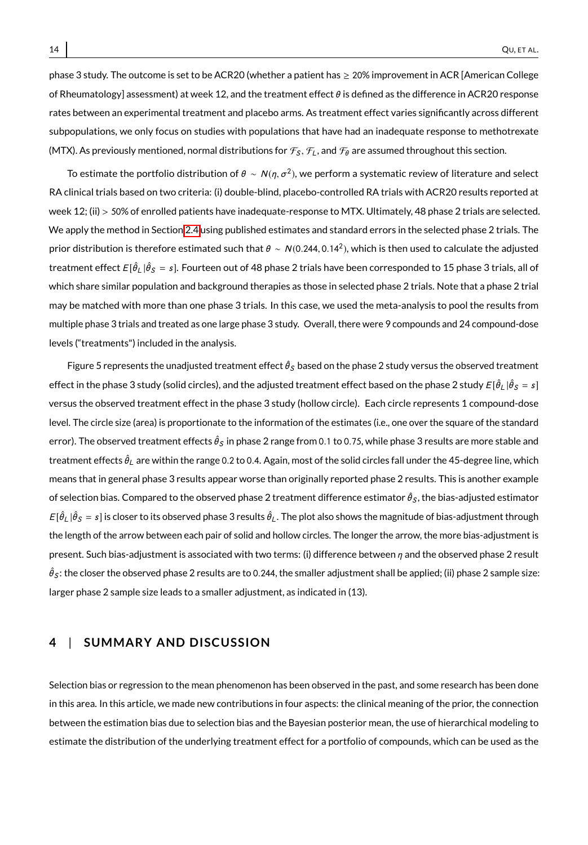phase 3 study. The outcome is set to be ACR20 (whether a patient has ≥ 20% improvement in ACR [American College of Rheumatology] assessment) at week 12, and the treatment effect θ is defined as the difference in ACR20 response rates between an experimental treatment and placebo arms. As treatment effect varies significantly across different subpopulations, we only focus on studies with populations that have had an inadequate response to methotrexate (MTX). As previously mentioned, normal distributions for  $\mathcal{F}_s$ ,  $\mathcal{F}_L$ , and  $\mathcal{F}_\theta$  are assumed throughout this section.

To estimate the portfolio distribution of  $\theta \sim N(\eta, \sigma^2)$ , we perform a systematic review of literature and select RA clinical trials based on two criteria: (i) double-blind, placebo-controlled RA trials with ACR20 results reported at week 12; (ii) > <sup>50</sup>% of enrolled patients have inadequate-response to MTX. Ultimately, 48 phase 2 trials are selected. We apply the method in Section [2.4](#page-9-0) using published estimates and standard errors in the selected phase 2 trials. The prior distribution is therefore estimated such that  $\theta \sim N(0.244, 0.14^2)$ , which is then used to calculate the adjusted treatment effect  $E[\hat{\theta}_L|\hat{\theta}_S=s]$ . Fourteen out of 48 phase 2 trials have been corresponded to 15 phase 3 trials, all of which share similar population and background therapies as those in selected phase 2 trials. Note that a phase 2 trial may be matched with more than one phase 3 trials. In this case, we used the meta-analysis to pool the results from multiple phase 3 trials and treated as one large phase 3 study. Overall, there were 9 compounds and 24 compound-dose levels ("treatments") included in the analysis.

Figure 5 represents the unadjusted treatment effect  $\hat{\theta}_S$  based on the phase 2 study versus the observed treatment effect in the phase 3 study (solid circles), and the adjusted treatment effect based on the phase 2 study  $E[\hat\theta_L|\hat\theta_S=s]$ versus the observed treatment effect in the phase 3 study (hollow circle). Each circle represents 1 compound-dose level. The circle size (area) is proportionate to the information of the estimates (i.e., one over the square of the standard error). The observed treatment effects  $\hat{\theta}_S$  in phase 2 range from 0.1 to 0.75, while phase 3 results are more stable and<br> treatment effects  $\hat{\theta}_L$  are within the range 0.2 to 0.4. Again, most of the solid circles fall under the 45-degree line, which means that in general phase 3 results appear worse than originally reported phase 2 results. This is another example of selection bias. Compared to the observed phase 2 treatment difference estimator  $\hat{\theta}_S$ , the bias-adjusted estimator  $E[\hat\theta_L|\hat\theta_S=s]$  is closer to its observed phase 3 results  $\hat\theta_L.$  The plot also shows the magnitude of bias-adjustment through the length of the arrow between each pair of solid and hollow circles. The longer the arrow, the more bias-adjustment is present. Such bias-adjustment is associated with two terms: (i) difference between  $\eta$  and the observed phase 2 result  $\hat{\theta}_S$ : the closer the observed phase 2 results are to 0.244, the smaller adjustment shall be applied; (ii) phase 2 sample size:<br> larger phase 2 sample size leads to a smaller adjustment, as indicated in (13).

#### **4** | SUMMARY AND DISCUSSION

Selection bias or regression to the mean phenomenon has been observed in the past, and some research has been done in this area. In this article, we made new contributions in four aspects: the clinical meaning of the prior, the connection between the estimation bias due to selection bias and the Bayesian posterior mean, the use of hierarchical modeling to estimate the distribution of the underlying treatment effect for a portfolio of compounds, which can be used as the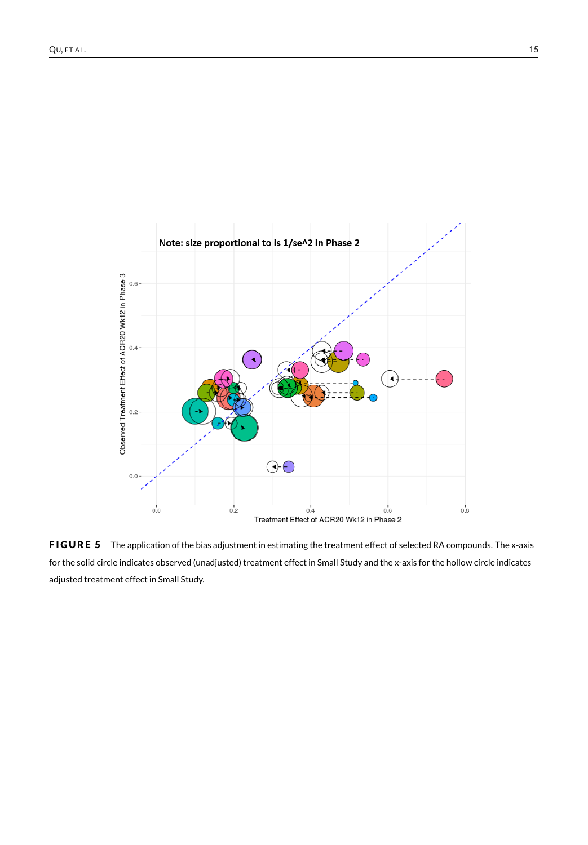

FIGURE 5 The application of the bias adjustment in estimating the treatment effect of selected RA compounds. The x-axis for the solid circle indicates observed (unadjusted) treatment effect in Small Study and the x-axis for the hollow circle indicates adjusted treatment effect in Small Study.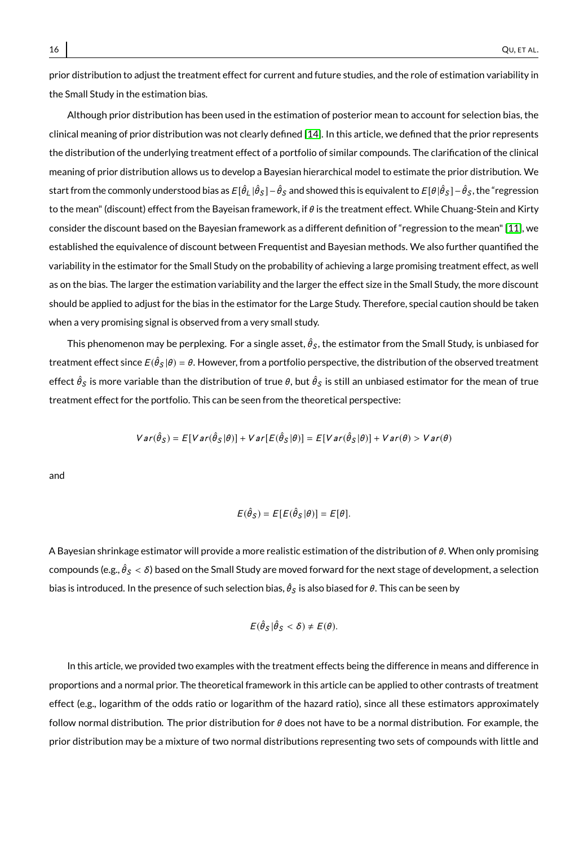prior distribution to adjust the treatment effect for current and future studies, and the role of estimation variability in the Small Study in the estimation bias.

Although prior distribution has been used in the estimation of posterior mean to account for selection bias, the clinical meaning of prior distribution was not clearly defined [\[14\]](#page-17-12). In this article, we defined that the prior represents the distribution of the underlying treatment effect of a portfolio of similar compounds. The clarification of the clinical meaning of prior distribution allows us to develop a Bayesian hierarchical model to estimate the prior distribution. We start from the commonly understood bias as  $E[\hat\theta_L|\hat\theta_S]-\hat\theta_S$  and showed this is equivalent to  $E[\theta|\hat\theta_S]-\hat\theta_S,$  the "regression to the mean" (discount) effect from the Bayeisan framework, if θ is the treatment effect. While Chuang-Stein and Kirty consider the discount based on the Bayesian framework as a different definition of "regression to the mean" [\[11\]](#page-17-9), we established the equivalence of discount between Frequentist and Bayesian methods. We also further quantified the variability in the estimator for the Small Study on the probability of achieving a large promising treatment effect, as well as on the bias. The larger the estimation variability and the larger the effect size in the Small Study, the more discount should be applied to adjust for the bias in the estimator for the Large Study. Therefore, special caution should be taken when a very promising signal is observed from a very small study.

This phenomenon may be perplexing. For a single asset,  $\hat{\theta}_S$ , the estimator from the Small Study, is unbiased for treatment effect since  $E(\hat\theta_S|\theta)$  =  $\theta.$  However, from a portfolio perspective, the distribution of the observed treatment effect  $\hat\theta_S$  is more variable than the distribution of true  $\theta$ , but  $\hat\theta_S$  is still an unbiased estimator for the mean of true treatment effect for the portfolio. This can be seen from the theoretical perspective:

$$
Var(\hat{\theta}_S) = E[Var(\hat{\theta}_S|\theta)] + Var[E(\hat{\theta}_S|\theta)] = E[Var(\hat{\theta}_S|\theta)] + Var(\theta) > Var(\theta)
$$

and

$$
E(\hat{\theta}_S) = E[E(\hat{\theta}_S|\theta)] = E[\theta].
$$

A Bayesian shrinkage estimator will provide a more realistic estimation of the distribution of  $\theta$ . When only promising compounds (e.g.,  $\hat{\theta}_S < \delta$ ) based on the Small Study are moved forward for the next stage of development, a selection bias is introduced. In the presence of such selection bias,  $\hat{\theta}_\mathcal{S}$  is also biased for  $\theta.$  This can be seen by

$$
E(\hat{\theta}_S|\hat{\theta}_S < \delta) \neq E(\theta).
$$

In this article, we provided two examples with the treatment effects being the difference in means and difference in proportions and a normal prior. The theoretical framework in this article can be applied to other contrasts of treatment effect (e.g., logarithm of the odds ratio or logarithm of the hazard ratio), since all these estimators approximately follow normal distribution. The prior distribution for  $\theta$  does not have to be a normal distribution. For example, the prior distribution may be a mixture of two normal distributions representing two sets of compounds with little and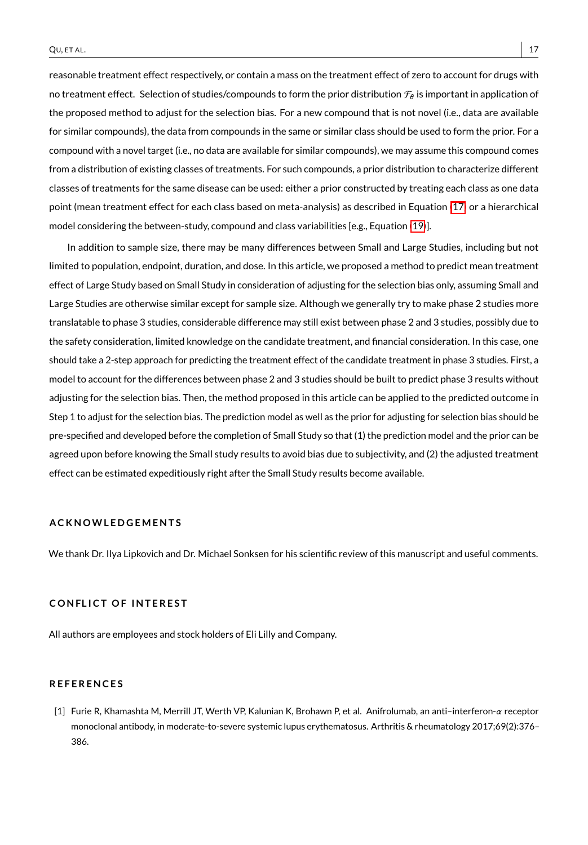reasonable treatment effect respectively, or contain a mass on the treatment effect of zero to account for drugs with no treatment effect. Selection of studies/compounds to form the prior distribution  $\mathcal{F}_{\theta}$  is important in application of the proposed method to adjust for the selection bias. For a new compound that is not novel (i.e., data are available for similar compounds), the data from compounds in the same or similar class should be used to form the prior. For a compound with a novel target (i.e., no data are available for similar compounds), we may assume this compound comes from a distribution of existing classes of treatments. For such compounds, a prior distribution to characterize different classes of treatments for the same disease can be used: either a prior constructed by treating each class as one data point (mean treatment effect for each class based on meta-analysis) as described in Equation [\(17\)](#page-10-0) or a hierarchical model considering the between-study, compound and class variabilities [e.g., Equation [\(19\)](#page-10-1)].

In addition to sample size, there may be many differences between Small and Large Studies, including but not limited to population, endpoint, duration, and dose. In this article, we proposed a method to predict mean treatment effect of Large Study based on Small Study in consideration of adjusting for the selection bias only, assuming Small and Large Studies are otherwise similar except for sample size. Although we generally try to make phase 2 studies more translatable to phase 3 studies, considerable difference may still exist between phase 2 and 3 studies, possibly due to the safety consideration, limited knowledge on the candidate treatment, and financial consideration. In this case, one should take a 2-step approach for predicting the treatment effect of the candidate treatment in phase 3 studies. First, a model to account for the differences between phase 2 and 3 studies should be built to predict phase 3 results without adjusting for the selection bias. Then, the method proposed in this article can be applied to the predicted outcome in Step 1 to adjust for the selection bias. The prediction model as well as the prior for adjusting for selection bias should be pre-specified and developed before the completion of Small Study so that (1) the prediction model and the prior can be agreed upon before knowing the Small study results to avoid bias due to subjectivity, and (2) the adjusted treatment effect can be estimated expeditiously right after the Small Study results become available.

#### **A C K N OW L E D G E M E N T S**

We thank Dr. Ilya Lipkovich and Dr. Michael Sonksen for his scientific review of this manuscript and useful comments.

#### **CONFLICT OF INTEREST**

All authors are employees and stock holders of Eli Lilly and Company.

#### **R E F E R E N C E S**

<span id="page-16-0"></span>[1] Furie R, Khamashta M, Merrill JT, Werth VP, Kalunian K, Brohawn P, et al. Anifrolumab, an anti–interferon-α receptor monoclonal antibody, in moderate-to-severe systemic lupus erythematosus. Arthritis & rheumatology 2017;69(2):376– 386.